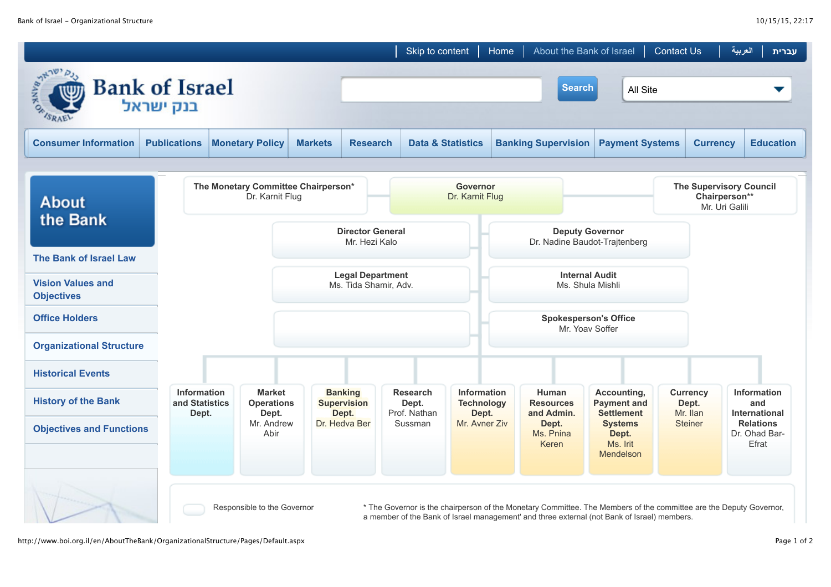|                                                                 |                                               |                                                        |                                          |                                               | Skip to content                          |                                           | Home                                                    | About the Bank of Israel                                                                                                                                                                                          |                                                        | <b>Contact Us</b>                                                 |                                      | العربية<br>עברית                           |
|-----------------------------------------------------------------|-----------------------------------------------|--------------------------------------------------------|------------------------------------------|-----------------------------------------------|------------------------------------------|-------------------------------------------|---------------------------------------------------------|-------------------------------------------------------------------------------------------------------------------------------------------------------------------------------------------------------------------|--------------------------------------------------------|-------------------------------------------------------------------|--------------------------------------|--------------------------------------------|
| <b>Bank of Israel</b><br><b>Search</b><br>All Site<br>בנק ישראל |                                               |                                                        |                                          |                                               |                                          |                                           |                                                         |                                                                                                                                                                                                                   |                                                        |                                                                   |                                      |                                            |
| <b>Consumer Information</b>                                     | <b>Publications</b>                           | <b>Monetary Policy</b>                                 | <b>Markets</b>                           | <b>Research</b>                               |                                          | <b>Data &amp; Statistics</b>              |                                                         | <b>Banking Supervision</b><br><b>Payment Systems</b>                                                                                                                                                              |                                                        |                                                                   | <b>Currency</b>                      | <b>Education</b>                           |
| <b>About</b>                                                    |                                               | The Monetary Committee Chairperson*<br>Dr. Karnit Flug |                                          |                                               | <b>Governor</b><br>Dr. Karnit Flug       |                                           |                                                         |                                                                                                                                                                                                                   |                                                        | <b>The Supervisory Council</b><br>Chairperson**<br>Mr. Uri Galili |                                      |                                            |
| the Bank                                                        |                                               |                                                        | <b>Director General</b><br>Mr. Hezi Kalo |                                               |                                          |                                           | <b>Deputy Governor</b><br>Dr. Nadine Baudot-Trajtenberg |                                                                                                                                                                                                                   |                                                        |                                                                   |                                      |                                            |
| The Bank of Israel Law                                          |                                               |                                                        | <b>Legal Department</b>                  |                                               |                                          |                                           | <b>Internal Audit</b>                                   |                                                                                                                                                                                                                   |                                                        |                                                                   |                                      |                                            |
| <b>Vision Values and</b><br><b>Objectives</b>                   |                                               |                                                        | Ms. Tida Shamir, Adv.                    |                                               |                                          |                                           | Ms. Shula Mishli                                        |                                                                                                                                                                                                                   |                                                        |                                                                   |                                      |                                            |
| <b>Office Holders</b>                                           |                                               |                                                        |                                          |                                               |                                          |                                           |                                                         |                                                                                                                                                                                                                   | <b>Spokesperson's Office</b><br>Mr. Yoav Soffer        |                                                                   |                                      |                                            |
| <b>Organizational Structure</b>                                 |                                               |                                                        |                                          |                                               |                                          |                                           |                                                         |                                                                                                                                                                                                                   |                                                        |                                                                   |                                      |                                            |
| <b>Historical Events</b>                                        |                                               |                                                        |                                          |                                               |                                          |                                           |                                                         |                                                                                                                                                                                                                   |                                                        |                                                                   |                                      |                                            |
| <b>History of the Bank</b>                                      | <b>Information</b><br>and Statistics<br>Dept. |                                                        | <b>Operations</b>                        | <b>Banking</b><br><b>Supervision</b><br>Dept. | <b>Research</b><br>Dept.<br>Prof. Nathan | Information<br><b>Technology</b><br>Dept. |                                                         | Human<br><b>Resources</b><br>and Admin.                                                                                                                                                                           | Accounting,<br><b>Payment and</b><br><b>Settlement</b> |                                                                   | <b>Currency</b><br>Dept.<br>Mr. Ilan | Information<br>and<br><b>International</b> |
| <b>Objectives and Functions</b>                                 |                                               |                                                        | Mr. Andrew                               | Dr. Hedva Ber                                 | Sussman                                  | Mr. Avner Ziv                             |                                                         | Dept.<br>Ms. Pnina<br>Keren                                                                                                                                                                                       | <b>Systems</b><br>Dept.<br>Ms. Irit<br>Mendelson       |                                                                   | <b>Steiner</b>                       | <b>Relations</b><br>Dr. Ohad Bar-<br>Efrat |
|                                                                 |                                               | Responsible to the Governor                            |                                          |                                               |                                          |                                           |                                                         | * The Governor is the chairperson of the Monetary Committee. The Members of the committee are the Deputy Governor,<br>a member of the Bank of Israel management' and three external (not Bank of Israel) members. |                                                        |                                                                   |                                      |                                            |